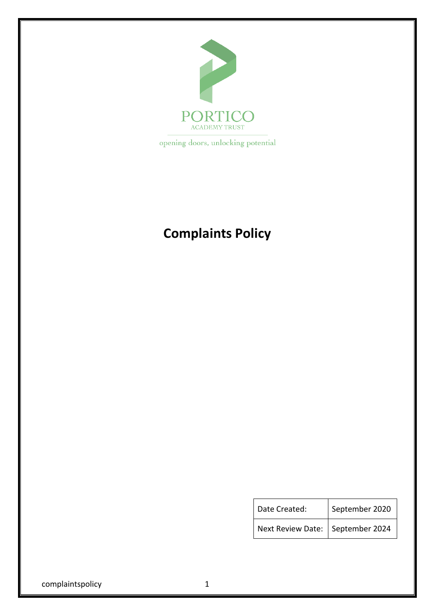

opening doors, unlocking potential

# **Complaints Policy**

| Date Created:                      | September 2020 |
|------------------------------------|----------------|
| Next Review Date:   September 2024 |                |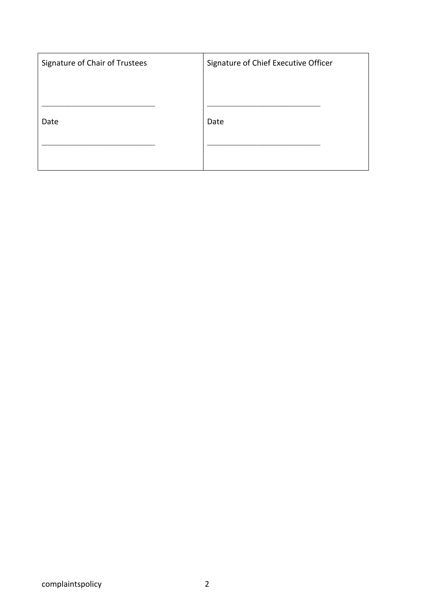| Signature of Chair of Trustees | Signature of Chief Executive Officer |
|--------------------------------|--------------------------------------|
|                                |                                      |
|                                |                                      |
| Date                           | Date                                 |
|                                |                                      |
|                                |                                      |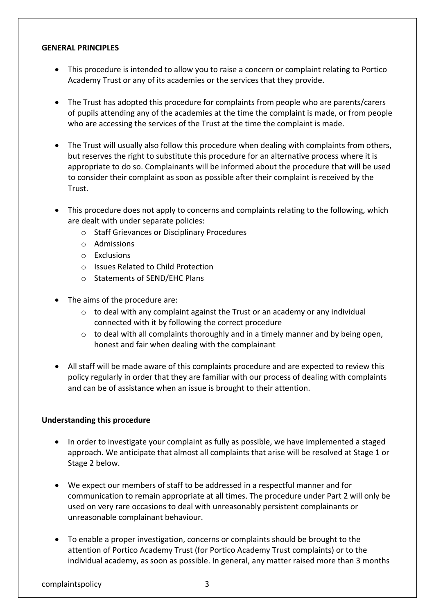#### **GENERAL PRINCIPLES**

- This procedure is intended to allow you to raise a concern or complaint relating to Portico Academy Trust or any of its academies or the services that they provide.
- The Trust has adopted this procedure for complaints from people who are parents/carers of pupils attending any of the academies at the time the complaint is made, or from people who are accessing the services of the Trust at the time the complaint is made.
- The Trust will usually also follow this procedure when dealing with complaints from others, but reserves the right to substitute this procedure for an alternative process where it is appropriate to do so. Complainants will be informed about the procedure that will be used to consider their complaint as soon as possible after their complaint is received by the Trust.
- This procedure does not apply to concerns and complaints relating to the following, which are dealt with under separate policies:
	- o Staff Grievances or Disciplinary Procedures
	- o Admissions
	- o Exclusions
	- o Issues Related to Child Protection
	- o Statements of SEND/EHC Plans
- The aims of the procedure are:
	- o to deal with any complaint against the Trust or an academy or any individual connected with it by following the correct procedure
	- $\circ$  to deal with all complaints thoroughly and in a timely manner and by being open, honest and fair when dealing with the complainant
- All staff will be made aware of this complaints procedure and are expected to review this policy regularly in order that they are familiar with our process of dealing with complaints and can be of assistance when an issue is brought to their attention.

#### **Understanding this procedure**

- In order to investigate your complaint as fully as possible, we have implemented a staged approach. We anticipate that almost all complaints that arise will be resolved at Stage 1 or Stage 2 below.
- We expect our members of staff to be addressed in a respectful manner and for communication to remain appropriate at all times. The procedure under Part 2 will only be used on very rare occasions to deal with unreasonably persistent complainants or unreasonable complainant behaviour.
- To enable a proper investigation, concerns or complaints should be brought to the attention of Portico Academy Trust (for Portico Academy Trust complaints) or to the individual academy, as soon as possible. In general, any matter raised more than 3 months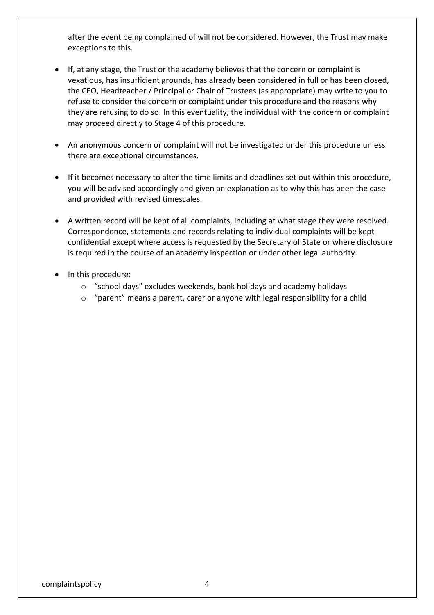after the event being complained of will not be considered. However, the Trust may make exceptions to this.

- If, at any stage, the Trust or the academy believes that the concern or complaint is vexatious, has insufficient grounds, has already been considered in full or has been closed, the CEO, Headteacher / Principal or Chair of Trustees (as appropriate) may write to you to refuse to consider the concern or complaint under this procedure and the reasons why they are refusing to do so. In this eventuality, the individual with the concern or complaint may proceed directly to Stage 4 of this procedure.
- An anonymous concern or complaint will not be investigated under this procedure unless there are exceptional circumstances.
- If it becomes necessary to alter the time limits and deadlines set out within this procedure, you will be advised accordingly and given an explanation as to why this has been the case and provided with revised timescales.
- A written record will be kept of all complaints, including at what stage they were resolved. Correspondence, statements and records relating to individual complaints will be kept confidential except where access is requested by the Secretary of State or where disclosure is required in the course of an academy inspection or under other legal authority.
- In this procedure:
	- o "school days" excludes weekends, bank holidays and academy holidays
	- o "parent" means a parent, carer or anyone with legal responsibility for a child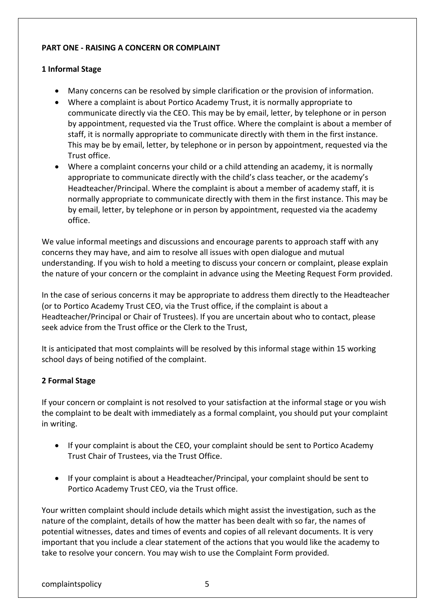## **PART ONE - RAISING A CONCERN OR COMPLAINT**

## **1 Informal Stage**

- Many concerns can be resolved by simple clarification or the provision of information.
- Where a complaint is about Portico Academy Trust, it is normally appropriate to communicate directly via the CEO. This may be by email, letter, by telephone or in person by appointment, requested via the Trust office. Where the complaint is about a member of staff, it is normally appropriate to communicate directly with them in the first instance. This may be by email, letter, by telephone or in person by appointment, requested via the Trust office.
- Where a complaint concerns your child or a child attending an academy, it is normally appropriate to communicate directly with the child's class teacher, or the academy's Headteacher/Principal. Where the complaint is about a member of academy staff, it is normally appropriate to communicate directly with them in the first instance. This may be by email, letter, by telephone or in person by appointment, requested via the academy office.

We value informal meetings and discussions and encourage parents to approach staff with any concerns they may have, and aim to resolve all issues with open dialogue and mutual understanding. If you wish to hold a meeting to discuss your concern or complaint, please explain the nature of your concern or the complaint in advance using the Meeting Request Form provided.

In the case of serious concerns it may be appropriate to address them directly to the Headteacher (or to Portico Academy Trust CEO, via the Trust office, if the complaint is about a Headteacher/Principal or Chair of Trustees). If you are uncertain about who to contact, please seek advice from the Trust office or the Clerk to the Trust,

It is anticipated that most complaints will be resolved by this informal stage within 15 working school days of being notified of the complaint.

## **2 Formal Stage**

If your concern or complaint is not resolved to your satisfaction at the informal stage or you wish the complaint to be dealt with immediately as a formal complaint, you should put your complaint in writing.

- If your complaint is about the CEO, your complaint should be sent to Portico Academy Trust Chair of Trustees, via the Trust Office.
- If your complaint is about a Headteacher/Principal, your complaint should be sent to Portico Academy Trust CEO, via the Trust office.

Your written complaint should include details which might assist the investigation, such as the nature of the complaint, details of how the matter has been dealt with so far, the names of potential witnesses, dates and times of events and copies of all relevant documents. It is very important that you include a clear statement of the actions that you would like the academy to take to resolve your concern. You may wish to use the Complaint Form provided.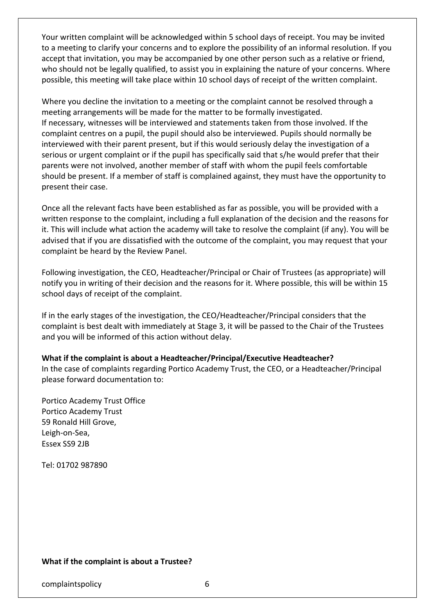Your written complaint will be acknowledged within 5 school days of receipt. You may be invited to a meeting to clarify your concerns and to explore the possibility of an informal resolution. If you accept that invitation, you may be accompanied by one other person such as a relative or friend, who should not be legally qualified, to assist you in explaining the nature of your concerns. Where possible, this meeting will take place within 10 school days of receipt of the written complaint.

Where you decline the invitation to a meeting or the complaint cannot be resolved through a meeting arrangements will be made for the matter to be formally investigated. If necessary, witnesses will be interviewed and statements taken from those involved. If the complaint centres on a pupil, the pupil should also be interviewed. Pupils should normally be interviewed with their parent present, but if this would seriously delay the investigation of a serious or urgent complaint or if the pupil has specifically said that s/he would prefer that their parents were not involved, another member of staff with whom the pupil feels comfortable should be present. If a member of staff is complained against, they must have the opportunity to present their case.

Once all the relevant facts have been established as far as possible, you will be provided with a written response to the complaint, including a full explanation of the decision and the reasons for it. This will include what action the academy will take to resolve the complaint (if any). You will be advised that if you are dissatisfied with the outcome of the complaint, you may request that your complaint be heard by the Review Panel.

Following investigation, the CEO, Headteacher/Principal or Chair of Trustees (as appropriate) will notify you in writing of their decision and the reasons for it. Where possible, this will be within 15 school days of receipt of the complaint.

If in the early stages of the investigation, the CEO/Headteacher/Principal considers that the complaint is best dealt with immediately at Stage 3, it will be passed to the Chair of the Trustees and you will be informed of this action without delay.

**What if the complaint is about a Headteacher/Principal/Executive Headteacher?** In the case of complaints regarding Portico Academy Trust, the CEO, or a Headteacher/Principal please forward documentation to:

Portico Academy Trust Office Portico Academy Trust 59 Ronald Hill Grove, Leigh-on-Sea, Essex SS9 2JB

Tel: 01702 987890

#### **What if the complaint is about a Trustee?**

complaintspolicy 6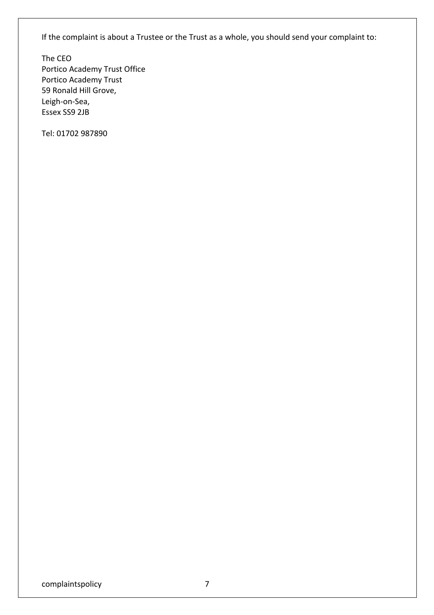If the complaint is about a Trustee or the Trust as a whole, you should send your complaint to:

The CEO Portico Academy Trust Office Portico Academy Trust 59 Ronald Hill Grove, Leigh-on-Sea, Essex SS9 2JB

Tel: 01702 987890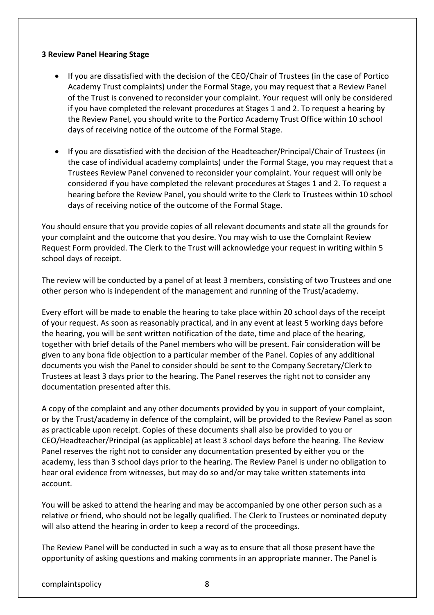#### **3 Review Panel Hearing Stage**

- If you are dissatisfied with the decision of the CEO/Chair of Trustees (in the case of Portico Academy Trust complaints) under the Formal Stage, you may request that a Review Panel of the Trust is convened to reconsider your complaint. Your request will only be considered if you have completed the relevant procedures at Stages 1 and 2. To request a hearing by the Review Panel, you should write to the Portico Academy Trust Office within 10 school days of receiving notice of the outcome of the Formal Stage.
- If you are dissatisfied with the decision of the Headteacher/Principal/Chair of Trustees (in the case of individual academy complaints) under the Formal Stage, you may request that a Trustees Review Panel convened to reconsider your complaint. Your request will only be considered if you have completed the relevant procedures at Stages 1 and 2. To request a hearing before the Review Panel, you should write to the Clerk to Trustees within 10 school days of receiving notice of the outcome of the Formal Stage.

You should ensure that you provide copies of all relevant documents and state all the grounds for your complaint and the outcome that you desire. You may wish to use the Complaint Review Request Form provided. The Clerk to the Trust will acknowledge your request in writing within 5 school days of receipt.

The review will be conducted by a panel of at least 3 members, consisting of two Trustees and one other person who is independent of the management and running of the Trust/academy.

Every effort will be made to enable the hearing to take place within 20 school days of the receipt of your request. As soon as reasonably practical, and in any event at least 5 working days before the hearing, you will be sent written notification of the date, time and place of the hearing, together with brief details of the Panel members who will be present. Fair consideration will be given to any bona fide objection to a particular member of the Panel. Copies of any additional documents you wish the Panel to consider should be sent to the Company Secretary/Clerk to Trustees at least 3 days prior to the hearing. The Panel reserves the right not to consider any documentation presented after this.

A copy of the complaint and any other documents provided by you in support of your complaint, or by the Trust/academy in defence of the complaint, will be provided to the Review Panel as soon as practicable upon receipt. Copies of these documents shall also be provided to you or CEO/Headteacher/Principal (as applicable) at least 3 school days before the hearing. The Review Panel reserves the right not to consider any documentation presented by either you or the academy, less than 3 school days prior to the hearing. The Review Panel is under no obligation to hear oral evidence from witnesses, but may do so and/or may take written statements into account.

You will be asked to attend the hearing and may be accompanied by one other person such as a relative or friend, who should not be legally qualified. The Clerk to Trustees or nominated deputy will also attend the hearing in order to keep a record of the proceedings.

The Review Panel will be conducted in such a way as to ensure that all those present have the opportunity of asking questions and making comments in an appropriate manner. The Panel is

complaintspolicy 8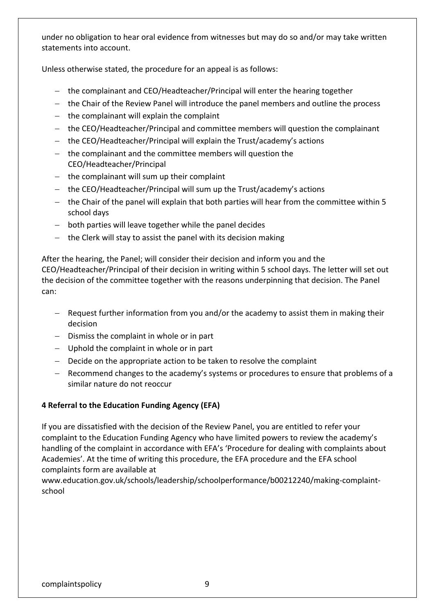under no obligation to hear oral evidence from witnesses but may do so and/or may take written statements into account.

Unless otherwise stated, the procedure for an appeal is as follows:

- the complainant and CEO/Headteacher/Principal will enter the hearing together
- the Chair of the Review Panel will introduce the panel members and outline the process
- $-$  the complainant will explain the complaint
- the CEO/Headteacher/Principal and committee members will question the complainant
- the CEO/Headteacher/Principal will explain the Trust/academy's actions
- the complainant and the committee members will question the CEO/Headteacher/Principal
- $-$  the complainant will sum up their complaint
- the CEO/Headteacher/Principal will sum up the Trust/academy's actions
- the Chair of the panel will explain that both parties will hear from the committee within 5 school days
- both parties will leave together while the panel decides
- $-$  the Clerk will stay to assist the panel with its decision making

After the hearing, the Panel; will consider their decision and inform you and the CEO/Headteacher/Principal of their decision in writing within 5 school days. The letter will set out the decision of the committee together with the reasons underpinning that decision. The Panel can:

- Request further information from you and/or the academy to assist them in making their decision
- Dismiss the complaint in whole or in part
- Uphold the complaint in whole or in part
- Decide on the appropriate action to be taken to resolve the complaint
- Recommend changes to the academy's systems or procedures to ensure that problems of a similar nature do not reoccur

## **4 Referral to the Education Funding Agency (EFA)**

If you are dissatisfied with the decision of the Review Panel, you are entitled to refer your complaint to the Education Funding Agency who have limited powers to review the academy's handling of the complaint in accordance with EFA's 'Procedure for dealing with complaints about Academies'. At the time of writing this procedure, the EFA procedure and the EFA school complaints form are available at

www.education.gov.uk/schools/leadership/schoolperformance/b00212240/making-complaintschool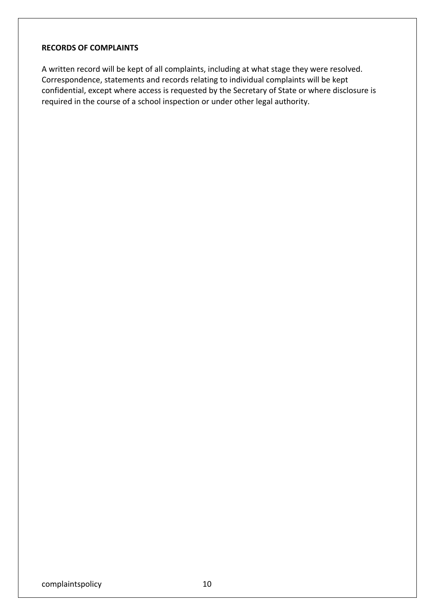#### **RECORDS OF COMPLAINTS**

A written record will be kept of all complaints, including at what stage they were resolved. Correspondence, statements and records relating to individual complaints will be kept confidential, except where access is requested by the Secretary of State or where disclosure is required in the course of a school inspection or under other legal authority.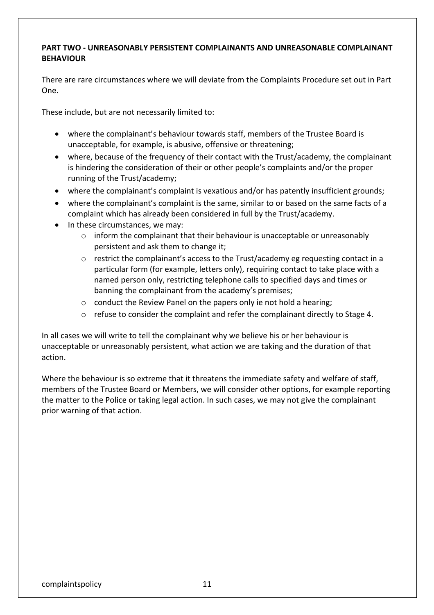## **PART TWO - UNREASONABLY PERSISTENT COMPLAINANTS AND UNREASONABLE COMPLAINANT BEHAVIOUR**

There are rare circumstances where we will deviate from the Complaints Procedure set out in Part One.

These include, but are not necessarily limited to:

- where the complainant's behaviour towards staff, members of the Trustee Board is unacceptable, for example, is abusive, offensive or threatening;
- where, because of the frequency of their contact with the Trust/academy, the complainant is hindering the consideration of their or other people's complaints and/or the proper running of the Trust/academy;
- where the complainant's complaint is vexatious and/or has patently insufficient grounds;
- where the complainant's complaint is the same, similar to or based on the same facts of a complaint which has already been considered in full by the Trust/academy.
- In these circumstances, we may:
	- $\circ$  inform the complainant that their behaviour is unacceptable or unreasonably persistent and ask them to change it;
	- $\circ$  restrict the complainant's access to the Trust/academy eg requesting contact in a particular form (for example, letters only), requiring contact to take place with a named person only, restricting telephone calls to specified days and times or banning the complainant from the academy's premises;
	- o conduct the Review Panel on the papers only ie not hold a hearing;
	- o refuse to consider the complaint and refer the complainant directly to Stage 4.

In all cases we will write to tell the complainant why we believe his or her behaviour is unacceptable or unreasonably persistent, what action we are taking and the duration of that action.

Where the behaviour is so extreme that it threatens the immediate safety and welfare of staff, members of the Trustee Board or Members, we will consider other options, for example reporting the matter to the Police or taking legal action. In such cases, we may not give the complainant prior warning of that action.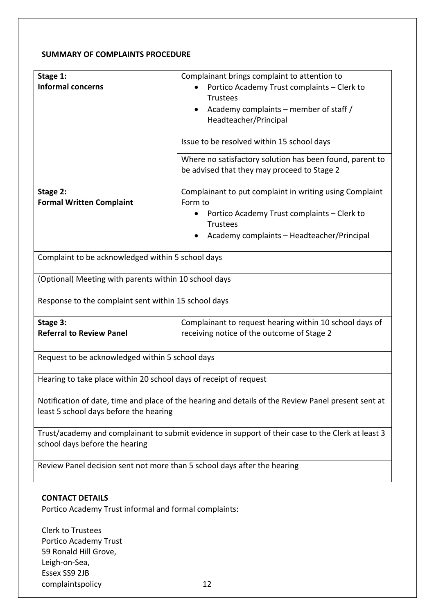## **SUMMARY OF COMPLAINTS PROCEDURE**

| Stage 1:<br><b>Informal concerns</b>                                                                                                          | Complainant brings complaint to attention to<br>Portico Academy Trust complaints - Clerk to<br><b>Trustees</b><br>Academy complaints – member of staff /<br>Headteacher/Principal<br>Issue to be resolved within 15 school days |  |
|-----------------------------------------------------------------------------------------------------------------------------------------------|---------------------------------------------------------------------------------------------------------------------------------------------------------------------------------------------------------------------------------|--|
|                                                                                                                                               | Where no satisfactory solution has been found, parent to<br>be advised that they may proceed to Stage 2                                                                                                                         |  |
| Stage 2:<br><b>Formal Written Complaint</b>                                                                                                   | Complainant to put complaint in writing using Complaint<br>Form to<br>Portico Academy Trust complaints - Clerk to<br>٠<br><b>Trustees</b><br>Academy complaints - Headteacher/Principal                                         |  |
| Complaint to be acknowledged within 5 school days                                                                                             |                                                                                                                                                                                                                                 |  |
| (Optional) Meeting with parents within 10 school days                                                                                         |                                                                                                                                                                                                                                 |  |
| Response to the complaint sent within 15 school days                                                                                          |                                                                                                                                                                                                                                 |  |
| Stage 3:<br><b>Referral to Review Panel</b>                                                                                                   | Complainant to request hearing within 10 school days of<br>receiving notice of the outcome of Stage 2                                                                                                                           |  |
| Request to be acknowledged within 5 school days                                                                                               |                                                                                                                                                                                                                                 |  |
| Hearing to take place within 20 school days of receipt of request                                                                             |                                                                                                                                                                                                                                 |  |
| Notification of date, time and place of the hearing and details of the Review Panel present sent at<br>least 5 school days before the hearing |                                                                                                                                                                                                                                 |  |
| Trust/academy and complainant to submit evidence in support of their case to the Clerk at least 3<br>school days before the hearing           |                                                                                                                                                                                                                                 |  |
| Review Panel decision sent not more than 5 school days after the hearing                                                                      |                                                                                                                                                                                                                                 |  |
| <b>CONTACT DETAILS</b><br>Portico Academy Trust informal and formal complaints:                                                               |                                                                                                                                                                                                                                 |  |
| <b>Clerk to Trustees</b><br>Portico Academy Trust<br>59 Ronald Hill Grove,<br>Leigh-on-Sea,<br>Essex SS9 2JB                                  |                                                                                                                                                                                                                                 |  |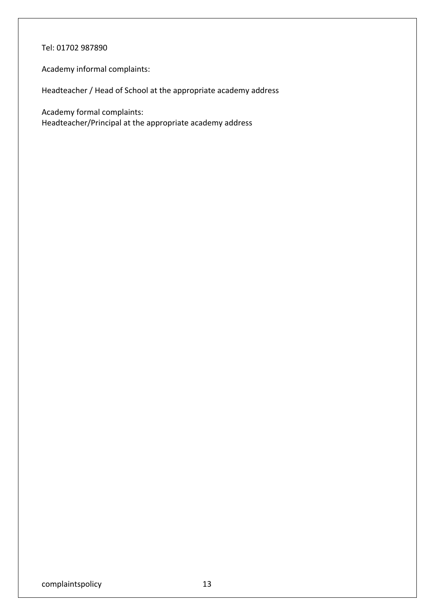#### Tel: 01702 987890

Academy informal complaints:

Headteacher / Head of School at the appropriate academy address

Academy formal complaints: Headteacher/Principal at the appropriate academy address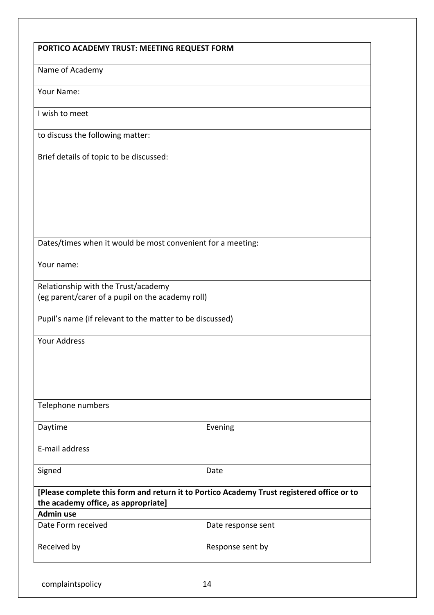## **PORTICO ACADEMY TRUST: MEETING REQUEST FORM**

#### Name of Academy

## Your Name:

I wish to meet

to discuss the following matter:

Brief details of topic to be discussed:

Dates/times when it would be most convenient for a meeting:

Your name:

Relationship with the Trust/academy (eg parent/carer of a pupil on the academy roll)

Pupil's name (if relevant to the matter to be discussed)

Your Address

| Telephone numbers |  |
|-------------------|--|
|-------------------|--|

| Daytime | Evening |
|---------|---------|
|         |         |

E-mail address

Signed Date Date

# **[Please complete this form and return it to Portico Academy Trust registered office or to the academy office, as appropriate]**

| Admin use          |                    |  |
|--------------------|--------------------|--|
| Date Form received | Date response sent |  |
| Received by        | Response sent by   |  |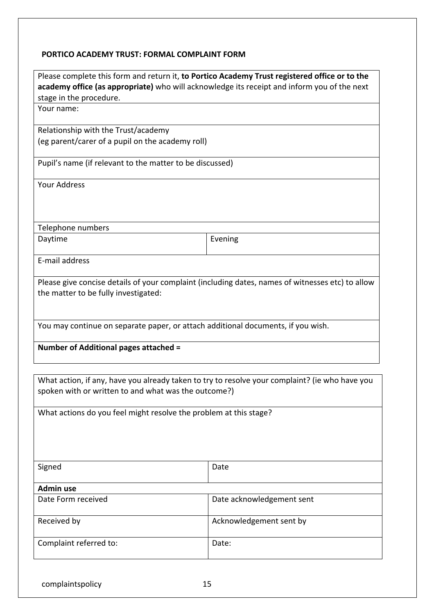## **PORTICO ACADEMY TRUST: FORMAL COMPLAINT FORM**

| Please complete this form and return it, to Portico Academy Trust registered office or to the<br>academy office (as appropriate) who will acknowledge its receipt and inform you of the next |                                                                                                  |  |
|----------------------------------------------------------------------------------------------------------------------------------------------------------------------------------------------|--------------------------------------------------------------------------------------------------|--|
| stage in the procedure.                                                                                                                                                                      |                                                                                                  |  |
| Your name:                                                                                                                                                                                   |                                                                                                  |  |
|                                                                                                                                                                                              |                                                                                                  |  |
| Relationship with the Trust/academy                                                                                                                                                          |                                                                                                  |  |
| (eg parent/carer of a pupil on the academy roll)                                                                                                                                             |                                                                                                  |  |
| Pupil's name (if relevant to the matter to be discussed)                                                                                                                                     |                                                                                                  |  |
| <b>Your Address</b>                                                                                                                                                                          |                                                                                                  |  |
|                                                                                                                                                                                              |                                                                                                  |  |
|                                                                                                                                                                                              |                                                                                                  |  |
| Telephone numbers                                                                                                                                                                            |                                                                                                  |  |
| Daytime                                                                                                                                                                                      | Evening                                                                                          |  |
|                                                                                                                                                                                              |                                                                                                  |  |
| E-mail address                                                                                                                                                                               |                                                                                                  |  |
|                                                                                                                                                                                              | Please give concise details of your complaint (including dates, names of witnesses etc) to allow |  |
| the matter to be fully investigated:                                                                                                                                                         |                                                                                                  |  |
|                                                                                                                                                                                              |                                                                                                  |  |
|                                                                                                                                                                                              |                                                                                                  |  |
| You may continue on separate paper, or attach additional documents, if you wish.                                                                                                             |                                                                                                  |  |
| Number of Additional pages attached =                                                                                                                                                        |                                                                                                  |  |
|                                                                                                                                                                                              |                                                                                                  |  |
| What action, if any, have you already taken to try to resolve your complaint? (ie who have you                                                                                               |                                                                                                  |  |
| spoken with or written to and what was the outcome?)                                                                                                                                         |                                                                                                  |  |
| What actions do you feel might resolve the problem at this stage?                                                                                                                            |                                                                                                  |  |
|                                                                                                                                                                                              |                                                                                                  |  |
|                                                                                                                                                                                              |                                                                                                  |  |
|                                                                                                                                                                                              |                                                                                                  |  |
|                                                                                                                                                                                              |                                                                                                  |  |
| Signed                                                                                                                                                                                       | Date                                                                                             |  |
| <b>Admin use</b>                                                                                                                                                                             |                                                                                                  |  |
| Date Form received                                                                                                                                                                           | Date acknowledgement sent                                                                        |  |
| Received by                                                                                                                                                                                  | Acknowledgement sent by                                                                          |  |
|                                                                                                                                                                                              |                                                                                                  |  |
| Complaint referred to:                                                                                                                                                                       | Date:                                                                                            |  |
|                                                                                                                                                                                              |                                                                                                  |  |
|                                                                                                                                                                                              |                                                                                                  |  |